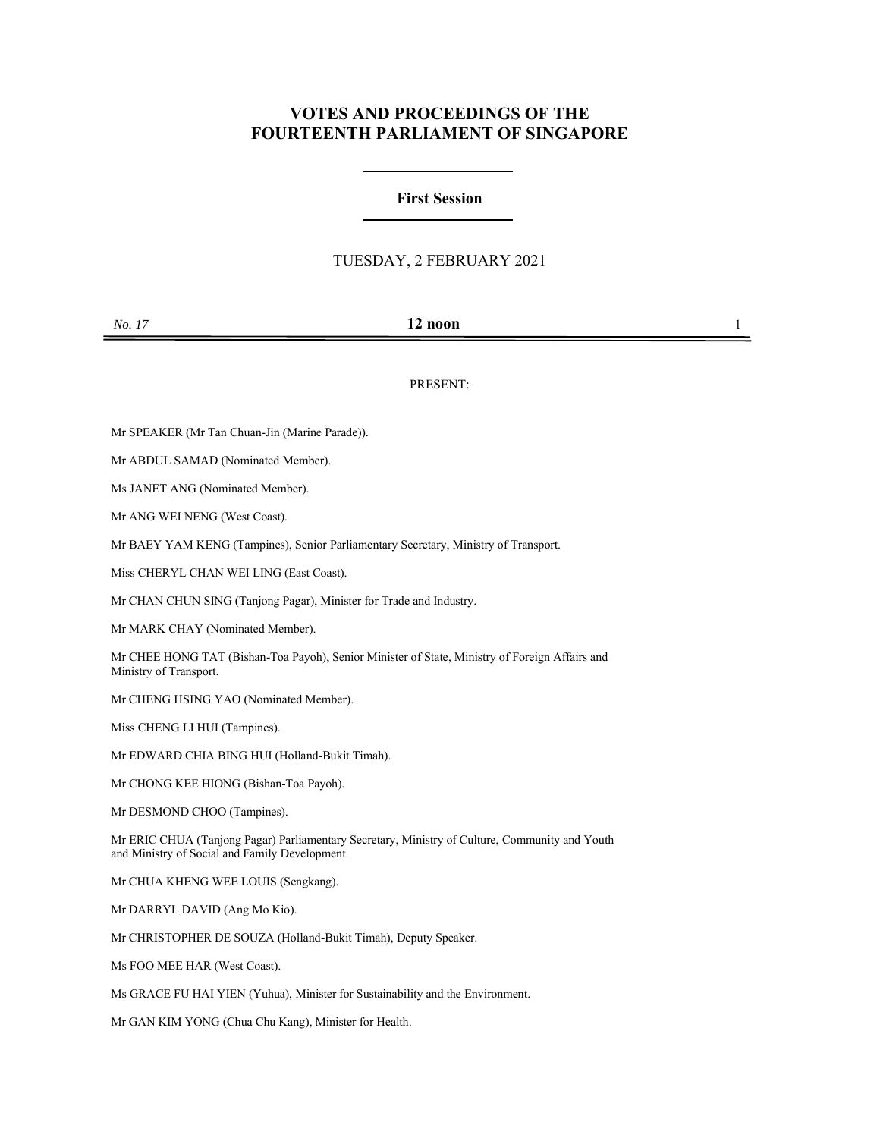# **VOTES AND PROCEEDINGS OF THE FOURTEENTH PARLIAMENT OF SINGAPORE**

## **First Session**

## TUESDAY, 2 FEBRUARY 2021

### PRESENT:

Mr SPEAKER (Mr Tan Chuan-Jin (Marine Parade)).

Mr ABDUL SAMAD (Nominated Member).

Ms JANET ANG (Nominated Member).

Mr ANG WEI NENG (West Coast).

Mr BAEY YAM KENG (Tampines), Senior Parliamentary Secretary, Ministry of Transport.

Miss CHERYL CHAN WEI LING (East Coast).

Mr CHAN CHUN SING (Tanjong Pagar), Minister for Trade and Industry.

Mr MARK CHAY (Nominated Member).

Mr CHEE HONG TAT (Bishan-Toa Payoh), Senior Minister of State, Ministry of Foreign Affairs and Ministry of Transport.

Mr CHENG HSING YAO (Nominated Member).

Miss CHENG LI HUI (Tampines).

Mr EDWARD CHIA BING HUI (Holland-Bukit Timah).

Mr CHONG KEE HIONG (Bishan-Toa Payoh).

Mr DESMOND CHOO (Tampines).

Mr ERIC CHUA (Tanjong Pagar) Parliamentary Secretary, Ministry of Culture, Community and Youth and Ministry of Social and Family Development.

Mr CHUA KHENG WEE LOUIS (Sengkang).

Mr DARRYL DAVID (Ang Mo Kio).

Mr CHRISTOPHER DE SOUZA (Holland-Bukit Timah), Deputy Speaker.

Ms FOO MEE HAR (West Coast).

Ms GRACE FU HAI YIEN (Yuhua), Minister for Sustainability and the Environment.

Mr GAN KIM YONG (Chua Chu Kang), Minister for Health.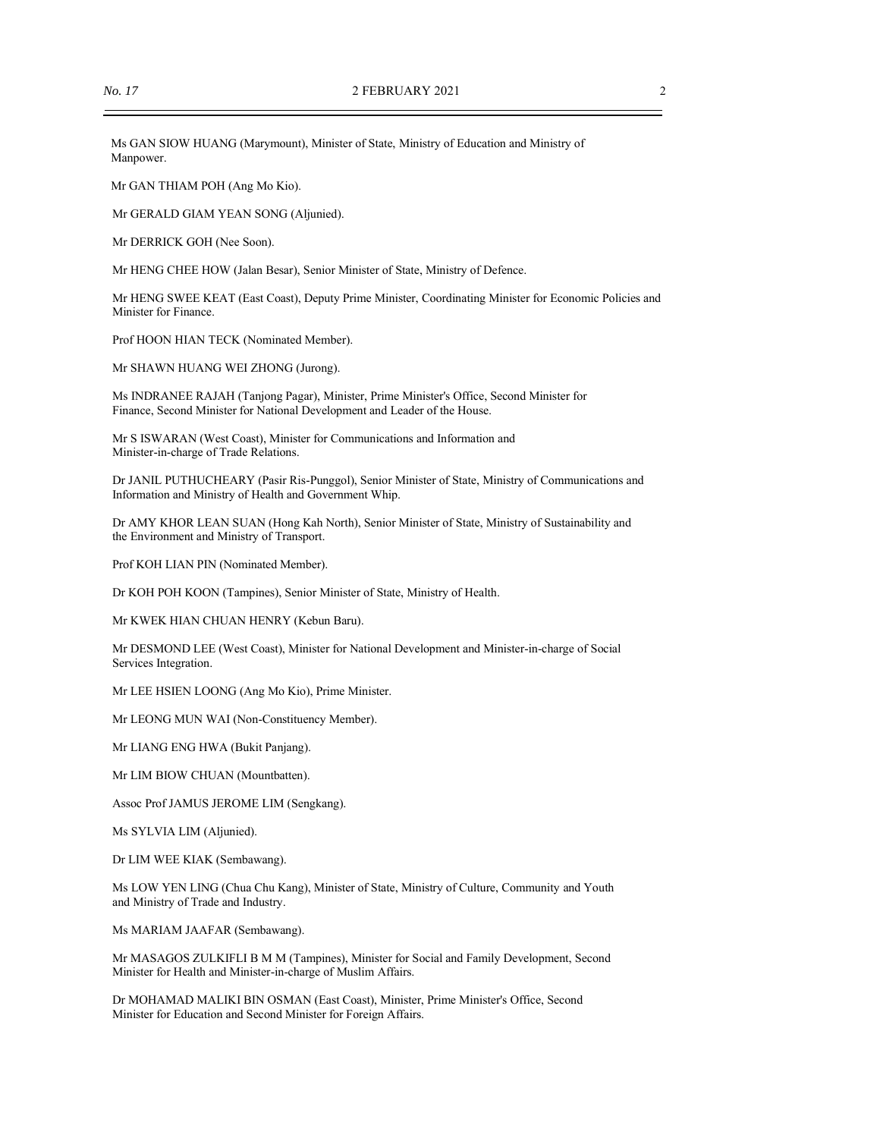Ms GAN SIOW HUANG (Marymount), Minister of State, Ministry of Education and Ministry of Manpower.

Mr GAN THIAM POH (Ang Mo Kio).

Mr GERALD GIAM YEAN SONG (Aljunied).

Mr DERRICK GOH (Nee Soon).

Mr HENG CHEE HOW (Jalan Besar), Senior Minister of State, Ministry of Defence.

Mr HENG SWEE KEAT (East Coast), Deputy Prime Minister, Coordinating Minister for Economic Policies and Minister for Finance.

Prof HOON HIAN TECK (Nominated Member).

Mr SHAWN HUANG WEI ZHONG (Jurong).

Ms INDRANEE RAJAH (Tanjong Pagar), Minister, Prime Minister's Office, Second Minister for Finance, Second Minister for National Development and Leader of the House.

Mr S ISWARAN (West Coast), Minister for Communications and Information and Minister-in-charge of Trade Relations.

Dr JANIL PUTHUCHEARY (Pasir Ris-Punggol), Senior Minister of State, Ministry of Communications and Information and Ministry of Health and Government Whip.

Dr AMY KHOR LEAN SUAN (Hong Kah North), Senior Minister of State, Ministry of Sustainability and the Environment and Ministry of Transport.

Prof KOH LIAN PIN (Nominated Member).

Dr KOH POH KOON (Tampines), Senior Minister of State, Ministry of Health.

Mr KWEK HIAN CHUAN HENRY (Kebun Baru).

Mr DESMOND LEE (West Coast), Minister for National Development and Minister-in-charge of Social Services Integration.

Mr LEE HSIEN LOONG (Ang Mo Kio), Prime Minister.

Mr LEONG MUN WAI (Non-Constituency Member).

Mr LIANG ENG HWA (Bukit Panjang).

Mr LIM BIOW CHUAN (Mountbatten).

Assoc Prof JAMUS JEROME LIM (Sengkang).

Ms SYLVIA LIM (Aljunied).

Dr LIM WEE KIAK (Sembawang).

Ms LOW YEN LING (Chua Chu Kang), Minister of State, Ministry of Culture, Community and Youth and Ministry of Trade and Industry.

Ms MARIAM JAAFAR (Sembawang).

Mr MASAGOS ZULKIFLI B M M (Tampines), Minister for Social and Family Development, Second Minister for Health and Minister-in-charge of Muslim Affairs.

Dr MOHAMAD MALIKI BIN OSMAN (East Coast), Minister, Prime Minister's Office, Second Minister for Education and Second Minister for Foreign Affairs.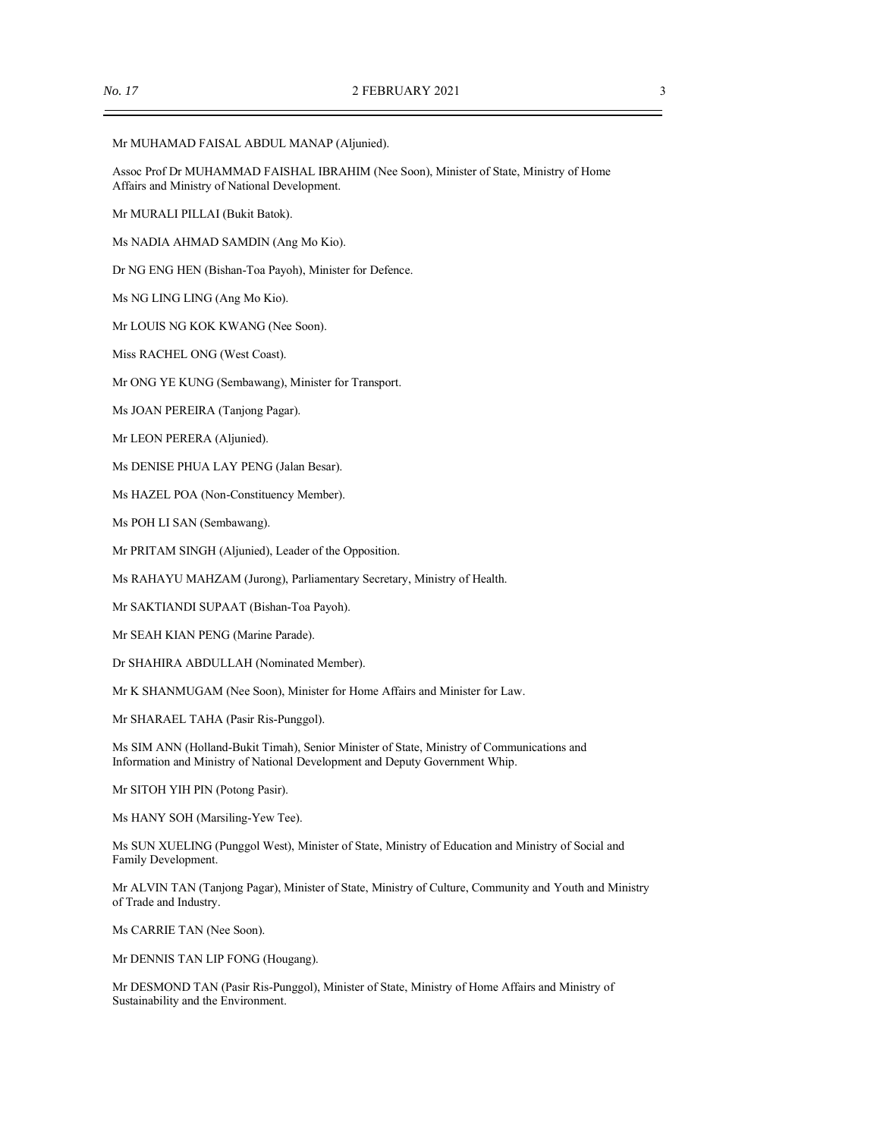Mr MUHAMAD FAISAL ABDUL MANAP (Aljunied).

Assoc Prof Dr MUHAMMAD FAISHAL IBRAHIM (Nee Soon), Minister of State, Ministry of Home Affairs and Ministry of National Development.

Mr MURALI PILLAI (Bukit Batok).

Ms NADIA AHMAD SAMDIN (Ang Mo Kio).

Dr NG ENG HEN (Bishan-Toa Payoh), Minister for Defence.

Ms NG LING LING (Ang Mo Kio).

Mr LOUIS NG KOK KWANG (Nee Soon).

Miss RACHEL ONG (West Coast).

Mr ONG YE KUNG (Sembawang), Minister for Transport.

Ms JOAN PEREIRA (Tanjong Pagar).

Mr LEON PERERA (Aljunied).

Ms DENISE PHUA LAY PENG (Jalan Besar).

Ms HAZEL POA (Non-Constituency Member).

Ms POH LI SAN (Sembawang).

Mr PRITAM SINGH (Aljunied), Leader of the Opposition.

Ms RAHAYU MAHZAM (Jurong), Parliamentary Secretary, Ministry of Health.

Mr SAKTIANDI SUPAAT (Bishan-Toa Payoh).

Mr SEAH KIAN PENG (Marine Parade).

Dr SHAHIRA ABDULLAH (Nominated Member).

Mr K SHANMUGAM (Nee Soon), Minister for Home Affairs and Minister for Law.

Mr SHARAEL TAHA (Pasir Ris-Punggol).

Ms SIM ANN (Holland-Bukit Timah), Senior Minister of State, Ministry of Communications and Information and Ministry of National Development and Deputy Government Whip.

Mr SITOH YIH PIN (Potong Pasir).

Ms HANY SOH (Marsiling-Yew Tee).

Ms SUN XUELING (Punggol West), Minister of State, Ministry of Education and Ministry of Social and Family Development.

Mr ALVIN TAN (Tanjong Pagar), Minister of State, Ministry of Culture, Community and Youth and Ministry of Trade and Industry.

Ms CARRIE TAN (Nee Soon).

Mr DENNIS TAN LIP FONG (Hougang).

Mr DESMOND TAN (Pasir Ris-Punggol), Minister of State, Ministry of Home Affairs and Ministry of Sustainability and the Environment.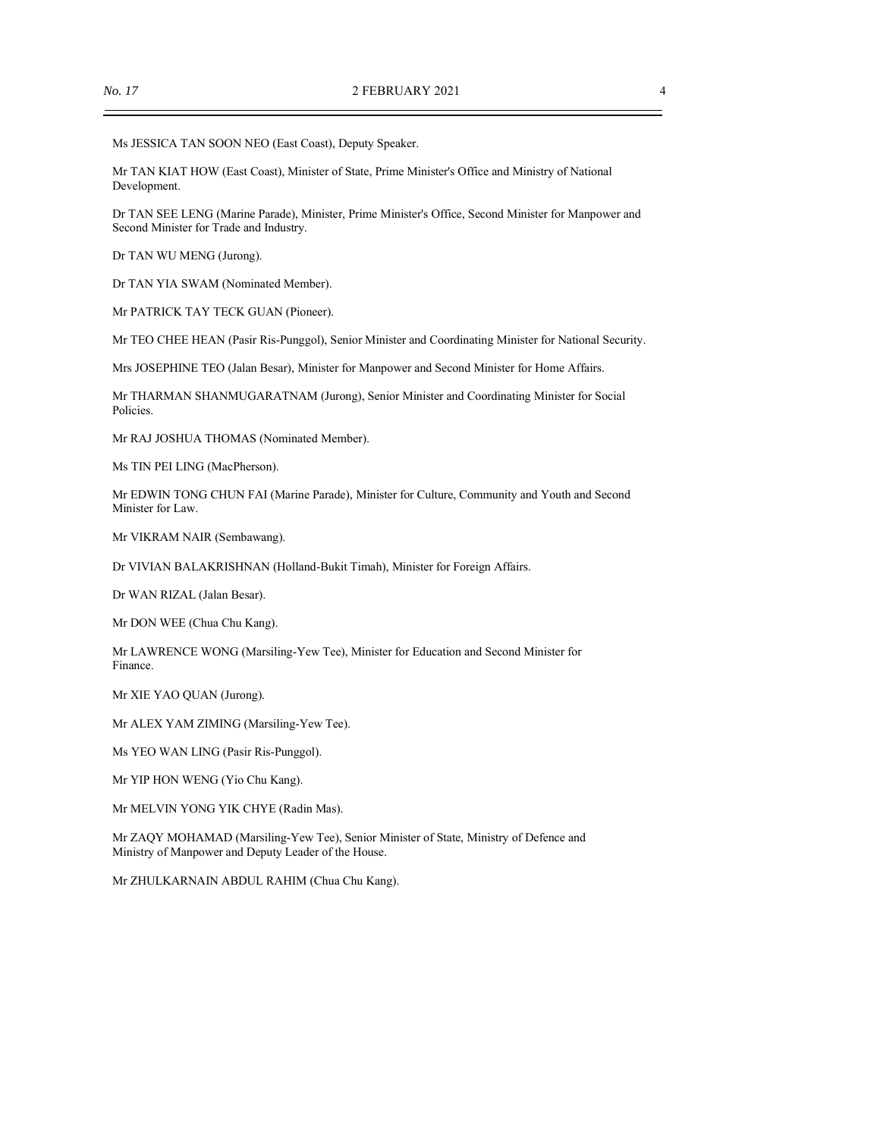Ms JESSICA TAN SOON NEO (East Coast), Deputy Speaker.

Mr TAN KIAT HOW (East Coast), Minister of State, Prime Minister's Office and Ministry of National Development.

Dr TAN SEE LENG (Marine Parade), Minister, Prime Minister's Office, Second Minister for Manpower and Second Minister for Trade and Industry.

Dr TAN WU MENG (Jurong).

Dr TAN YIA SWAM (Nominated Member).

Mr PATRICK TAY TECK GUAN (Pioneer).

Mr TEO CHEE HEAN (Pasir Ris-Punggol), Senior Minister and Coordinating Minister for National Security.

Mrs JOSEPHINE TEO (Jalan Besar), Minister for Manpower and Second Minister for Home Affairs.

Mr THARMAN SHANMUGARATNAM (Jurong), Senior Minister and Coordinating Minister for Social Policies.

Mr RAJ JOSHUA THOMAS (Nominated Member).

Ms TIN PEI LING (MacPherson).

Mr EDWIN TONG CHUN FAI (Marine Parade), Minister for Culture, Community and Youth and Second Minister for Law.

Mr VIKRAM NAIR (Sembawang).

Dr VIVIAN BALAKRISHNAN (Holland-Bukit Timah), Minister for Foreign Affairs.

Dr WAN RIZAL (Jalan Besar).

Mr DON WEE (Chua Chu Kang).

Mr LAWRENCE WONG (Marsiling-Yew Tee), Minister for Education and Second Minister for Finance.

Mr XIE YAO QUAN (Jurong).

Mr ALEX YAM ZIMING (Marsiling-Yew Tee).

Ms YEO WAN LING (Pasir Ris-Punggol).

Mr YIP HON WENG (Yio Chu Kang).

Mr MELVIN YONG YIK CHYE (Radin Mas).

Mr ZAQY MOHAMAD (Marsiling-Yew Tee), Senior Minister of State, Ministry of Defence and Ministry of Manpower and Deputy Leader of the House.

Mr ZHULKARNAIN ABDUL RAHIM (Chua Chu Kang).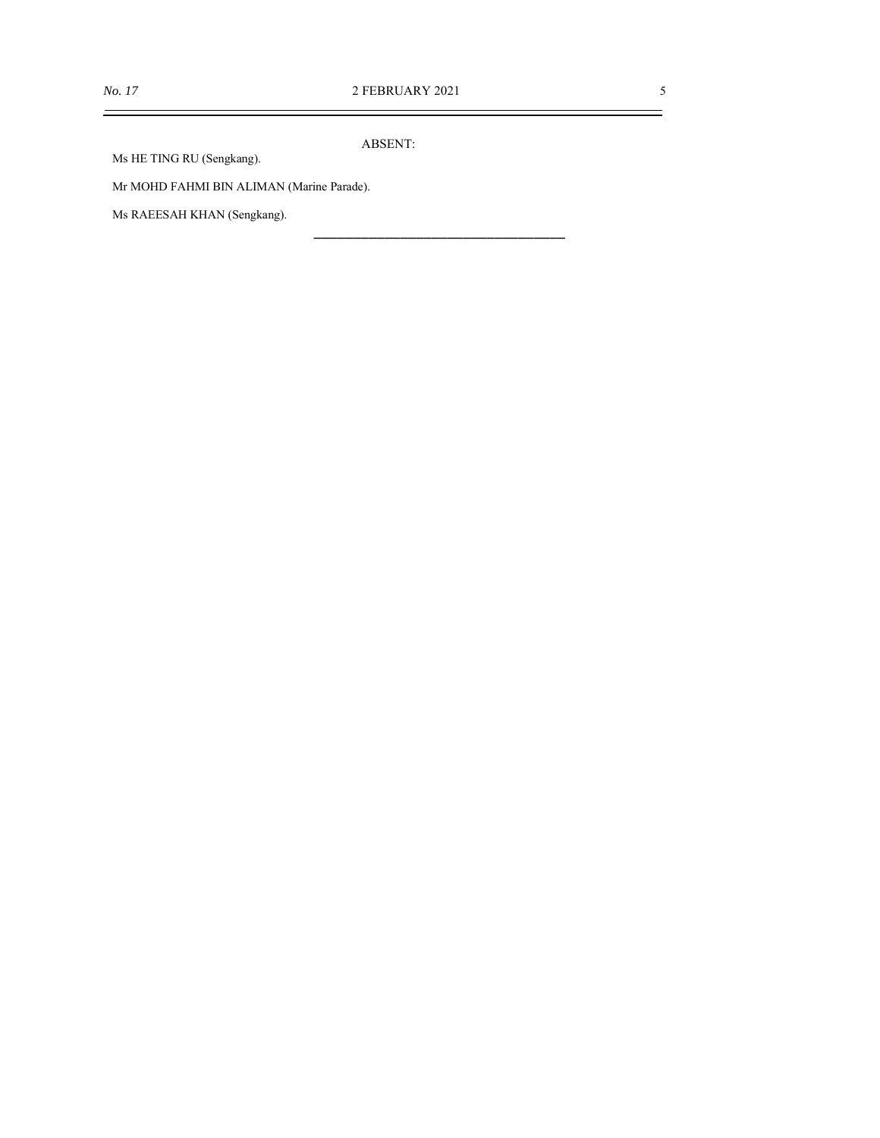$\equiv$ 

ABSENT:

Ms HE TING RU (Sengkang).

Mr MOHD FAHMI BIN ALIMAN (Marine Parade).

Ms RAEESAH KHAN (Sengkang).

\_\_\_\_\_\_\_\_\_\_\_\_\_\_\_\_\_\_\_\_\_\_\_\_\_\_\_\_\_\_\_\_